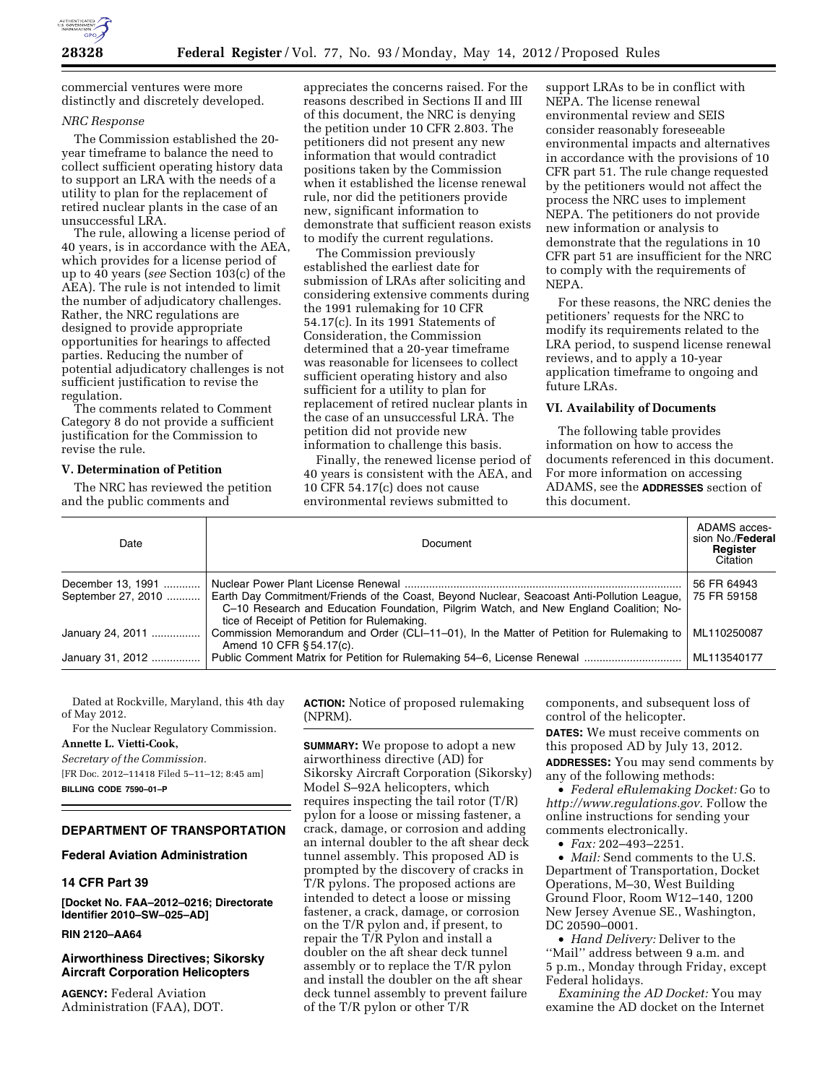

commercial ventures were more distinctly and discretely developed.

### *NRC Response*

The Commission established the 20 year timeframe to balance the need to collect sufficient operating history data to support an LRA with the needs of a utility to plan for the replacement of retired nuclear plants in the case of an unsuccessful LRA.

The rule, allowing a license period of 40 years, is in accordance with the AEA, which provides for a license period of up to 40 years (*see* Section 103(c) of the AEA). The rule is not intended to limit the number of adjudicatory challenges. Rather, the NRC regulations are designed to provide appropriate opportunities for hearings to affected parties. Reducing the number of potential adjudicatory challenges is not sufficient justification to revise the regulation.

The comments related to Comment Category 8 do not provide a sufficient justification for the Commission to revise the rule.

#### **V. Determination of Petition**

The NRC has reviewed the petition and the public comments and

appreciates the concerns raised. For the reasons described in Sections II and III of this document, the NRC is denying the petition under 10 CFR 2.803. The petitioners did not present any new information that would contradict positions taken by the Commission when it established the license renewal rule, nor did the petitioners provide new, significant information to demonstrate that sufficient reason exists to modify the current regulations.

The Commission previously established the earliest date for submission of LRAs after soliciting and considering extensive comments during the 1991 rulemaking for 10 CFR 54.17(c). In its 1991 Statements of Consideration, the Commission determined that a 20-year timeframe was reasonable for licensees to collect sufficient operating history and also sufficient for a utility to plan for replacement of retired nuclear plants in the case of an unsuccessful LRA. The petition did not provide new information to challenge this basis.

Finally, the renewed license period of 40 years is consistent with the AEA, and 10 CFR 54.17(c) does not cause environmental reviews submitted to

support LRAs to be in conflict with NEPA. The license renewal environmental review and SEIS consider reasonably foreseeable environmental impacts and alternatives in accordance with the provisions of 10 CFR part 51. The rule change requested by the petitioners would not affect the process the NRC uses to implement NEPA. The petitioners do not provide new information or analysis to demonstrate that the regulations in 10 CFR part 51 are insufficient for the NRC to comply with the requirements of NEPA.

For these reasons, the NRC denies the petitioners' requests for the NRC to modify its requirements related to the LRA period, to suspend license renewal reviews, and to apply a 10-year application timeframe to ongoing and future LRAs.

### **VI. Availability of Documents**

The following table provides information on how to access the documents referenced in this document. For more information on accessing ADAMS, see the **ADDRESSES** section of this document.

| Date                                    | Document                                                                                                                                                                                                                           | ADAMS acces-<br>sion No./Federal<br>Register<br>Citation |
|-----------------------------------------|------------------------------------------------------------------------------------------------------------------------------------------------------------------------------------------------------------------------------------|----------------------------------------------------------|
| December 13, 1991<br>September 27, 2010 | Earth Day Commitment/Friends of the Coast, Beyond Nuclear, Seacoast Anti-Pollution League,<br>C-10 Research and Education Foundation, Pilgrim Watch, and New England Coalition; No-<br>tice of Receipt of Petition for Rulemaking. | 56 FR 64943<br>75 FR 59158                               |
| January 24, 2011                        | Commission Memorandum and Order (CLI-11-01), In the Matter of Petition for Rulemaking to<br>Amend 10 CFR § 54.17(c).                                                                                                               | ML110250087                                              |
| January 31, 2012                        |                                                                                                                                                                                                                                    | ML113540177                                              |

Dated at Rockville, Maryland, this 4th day of May 2012.

For the Nuclear Regulatory Commission. **Annette L. Vietti-Cook,** 

*Secretary of the Commission.* 

[FR Doc. 2012–11418 Filed 5–11–12; 8:45 am] **BILLING CODE 7590–01–P** 

## **DEPARTMENT OF TRANSPORTATION**

#### **Federal Aviation Administration**

## **14 CFR Part 39**

**[Docket No. FAA–2012–0216; Directorate Identifier 2010–SW–025–AD]** 

# **RIN 2120–AA64**

## **Airworthiness Directives; Sikorsky Aircraft Corporation Helicopters**

**AGENCY:** Federal Aviation Administration (FAA), DOT. **ACTION:** Notice of proposed rulemaking (NPRM).

**SUMMARY:** We propose to adopt a new airworthiness directive (AD) for Sikorsky Aircraft Corporation (Sikorsky) Model S–92A helicopters, which requires inspecting the tail rotor (T/R) pylon for a loose or missing fastener, a crack, damage, or corrosion and adding an internal doubler to the aft shear deck tunnel assembly. This proposed AD is prompted by the discovery of cracks in T/R pylons. The proposed actions are intended to detect a loose or missing fastener, a crack, damage, or corrosion on the T/R pylon and, if present, to repair the T/R Pylon and install a doubler on the aft shear deck tunnel assembly or to replace the T/R pylon and install the doubler on the aft shear deck tunnel assembly to prevent failure of the T/R pylon or other T/R

components, and subsequent loss of control of the helicopter.

**DATES:** We must receive comments on this proposed AD by July 13, 2012. **ADDRESSES:** You may send comments by

any of the following methods: • *Federal eRulemaking Docket:* Go to

*[http://www.regulations.gov.](http://www.regulations.gov)* Follow the online instructions for sending your comments electronically.

• *Fax:* 202–493–2251.

• *Mail:* Send comments to the U.S. Department of Transportation, Docket Operations, M–30, West Building Ground Floor, Room W12–140, 1200 New Jersey Avenue SE., Washington, DC 20590–0001.

• *Hand Delivery:* Deliver to the ''Mail'' address between 9 a.m. and 5 p.m., Monday through Friday, except Federal holidays.

*Examining the AD Docket:* You may examine the AD docket on the Internet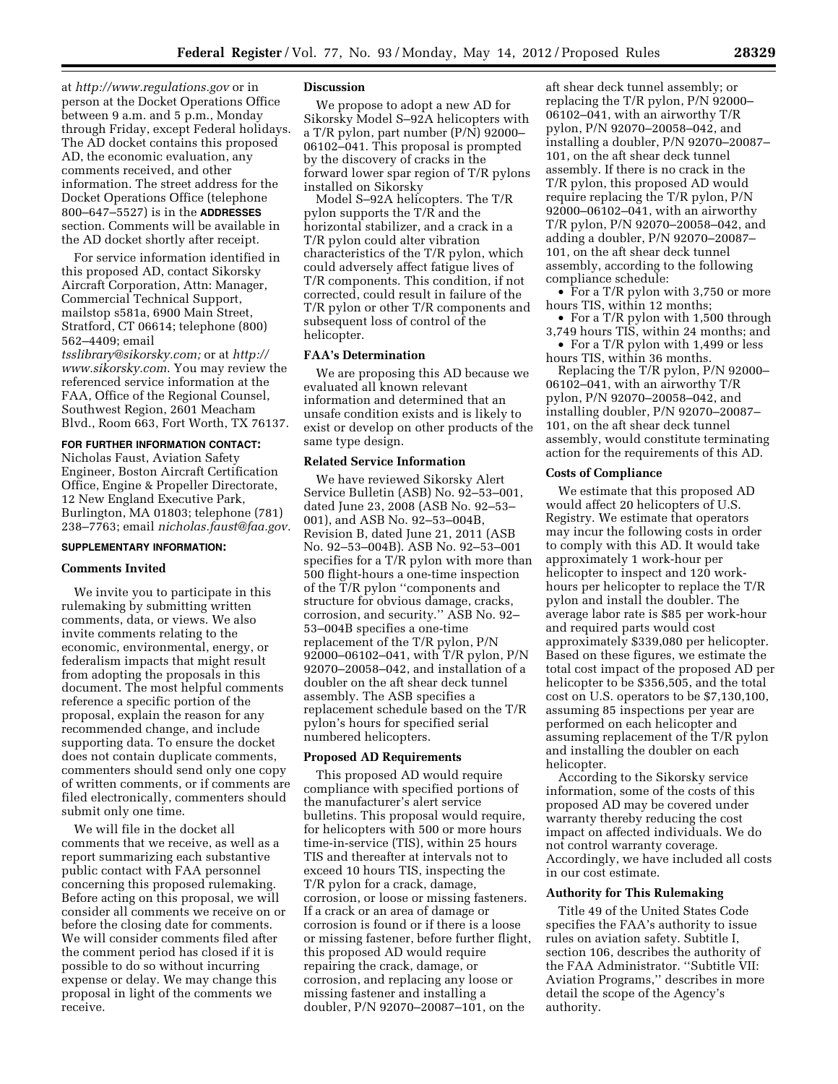at *<http://www.regulations.gov>* or in person at the Docket Operations Office between 9 a.m. and 5 p.m., Monday through Friday, except Federal holidays. The AD docket contains this proposed AD, the economic evaluation, any comments received, and other information. The street address for the Docket Operations Office (telephone 800–647–5527) is in the **ADDRESSES** section. Comments will be available in the AD docket shortly after receipt.

For service information identified in this proposed AD, contact Sikorsky Aircraft Corporation, Attn: Manager, Commercial Technical Support, mailstop s581a, 6900 Main Street, Stratford, CT 06614; telephone (800) 562–4409; email

*[tsslibrary@sikorsky.com;](mailto:tsslibrary@sikorsky.com)* or at *[http://](http://www.sikorsky.com) [www.sikorsky.com](http://www.sikorsky.com)*. You may review the referenced service information at the FAA, Office of the Regional Counsel, Southwest Region, 2601 Meacham Blvd., Room 663, Fort Worth, TX 76137.

# **FOR FURTHER INFORMATION CONTACT:**

Nicholas Faust, Aviation Safety Engineer, Boston Aircraft Certification Office, Engine & Propeller Directorate, 12 New England Executive Park, Burlington, MA 01803; telephone (781) 238–7763; email *[nicholas.faust@faa.gov.](mailto:nicholas.faust@faa.gov)* 

## **SUPPLEMENTARY INFORMATION:**

### **Comments Invited**

We invite you to participate in this rulemaking by submitting written comments, data, or views. We also invite comments relating to the economic, environmental, energy, or federalism impacts that might result from adopting the proposals in this document. The most helpful comments reference a specific portion of the proposal, explain the reason for any recommended change, and include supporting data. To ensure the docket does not contain duplicate comments, commenters should send only one copy of written comments, or if comments are filed electronically, commenters should submit only one time.

We will file in the docket all comments that we receive, as well as a report summarizing each substantive public contact with FAA personnel concerning this proposed rulemaking. Before acting on this proposal, we will consider all comments we receive on or before the closing date for comments. We will consider comments filed after the comment period has closed if it is possible to do so without incurring expense or delay. We may change this proposal in light of the comments we receive.

#### **Discussion**

We propose to adopt a new AD for Sikorsky Model S–92A helicopters with a T/R pylon, part number (P/N) 92000– 06102–041. This proposal is prompted by the discovery of cracks in the forward lower spar region of T/R pylons installed on Sikorsky

Model S–92A helicopters. The T/R pylon supports the T/R and the horizontal stabilizer, and a crack in a T/R pylon could alter vibration characteristics of the T/R pylon, which could adversely affect fatigue lives of T/R components. This condition, if not corrected, could result in failure of the T/R pylon or other T/R components and subsequent loss of control of the helicopter.

#### **FAA's Determination**

We are proposing this AD because we evaluated all known relevant information and determined that an unsafe condition exists and is likely to exist or develop on other products of the same type design.

#### **Related Service Information**

We have reviewed Sikorsky Alert Service Bulletin (ASB) No. 92–53–001, dated June 23, 2008 (ASB No. 92–53– 001), and ASB No. 92–53–004B, Revision B, dated June 21, 2011 (ASB No. 92–53–004B). ASB No. 92–53–001 specifies for a T/R pylon with more than 500 flight-hours a one-time inspection of the T/R pylon ''components and structure for obvious damage, cracks, corrosion, and security.'' ASB No. 92– 53–004B specifies a one-time replacement of the T/R pylon, P/N 92000–06102–041, with T/R pylon, P/N 92070–20058–042, and installation of a doubler on the aft shear deck tunnel assembly. The ASB specifies a replacement schedule based on the T/R pylon's hours for specified serial numbered helicopters.

## **Proposed AD Requirements**

This proposed AD would require compliance with specified portions of the manufacturer's alert service bulletins. This proposal would require, for helicopters with 500 or more hours time-in-service (TIS), within 25 hours TIS and thereafter at intervals not to exceed 10 hours TIS, inspecting the T/R pylon for a crack, damage, corrosion, or loose or missing fasteners. If a crack or an area of damage or corrosion is found or if there is a loose or missing fastener, before further flight, this proposed AD would require repairing the crack, damage, or corrosion, and replacing any loose or missing fastener and installing a doubler, P/N 92070–20087–101, on the

aft shear deck tunnel assembly; or replacing the T/R pylon, P/N 92000– 06102–041, with an airworthy T/R pylon, P/N 92070–20058–042, and installing a doubler, P/N 92070–20087– 101, on the aft shear deck tunnel assembly. If there is no crack in the T/R pylon, this proposed AD would require replacing the T/R pylon, P/N 92000–06102–041, with an airworthy T/R pylon, P/N 92070–20058–042, and adding a doubler, P/N 92070–20087– 101, on the aft shear deck tunnel assembly, according to the following compliance schedule:

• For a T/R pylon with 3,750 or more hours TIS, within 12 months;

• For a T/R pylon with 1,500 through 3,749 hours TIS, within 24 months; and

• For a T/R pylon with 1,499 or less hours TIS, within 36 months.

Replacing the T/R pylon, P/N 92000– 06102–041, with an airworthy T/R pylon, P/N 92070–20058–042, and installing doubler, P/N 92070–20087– 101, on the aft shear deck tunnel assembly, would constitute terminating action for the requirements of this AD.

## **Costs of Compliance**

We estimate that this proposed AD would affect 20 helicopters of U.S. Registry. We estimate that operators may incur the following costs in order to comply with this AD. It would take approximately 1 work-hour per helicopter to inspect and 120 workhours per helicopter to replace the T/R pylon and install the doubler. The average labor rate is \$85 per work-hour and required parts would cost approximately \$339,080 per helicopter. Based on these figures, we estimate the total cost impact of the proposed AD per helicopter to be \$356,505, and the total cost on U.S. operators to be \$7,130,100, assuming 85 inspections per year are performed on each helicopter and assuming replacement of the T/R pylon and installing the doubler on each helicopter.

According to the Sikorsky service information, some of the costs of this proposed AD may be covered under warranty thereby reducing the cost impact on affected individuals. We do not control warranty coverage. Accordingly, we have included all costs in our cost estimate.

### **Authority for This Rulemaking**

Title 49 of the United States Code specifies the FAA's authority to issue rules on aviation safety. Subtitle I, section 106, describes the authority of the FAA Administrator. ''Subtitle VII: Aviation Programs,'' describes in more detail the scope of the Agency's authority.